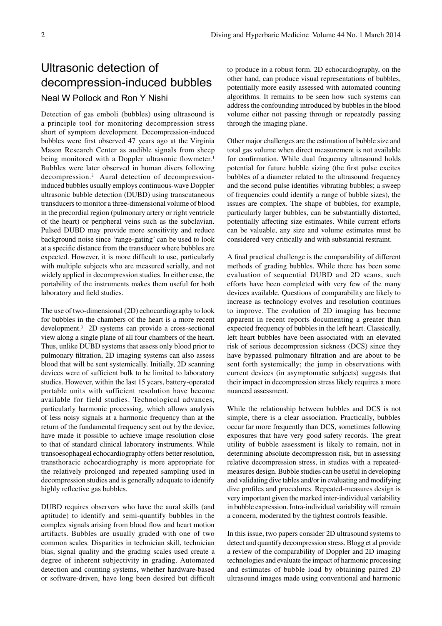## Ultrasonic detection of decompression-induced bubbles

## Neal W Pollock and Ron Y Nishi

Detection of gas emboli (bubbles) using ultrasound is a principle tool for monitoring decompression stress short of symptom development. Decompression-induced bubbles were first observed 47 years ago at the Virginia Mason Research Center as audible signals from sheep being monitored with a Doppler ultrasonic flowmeter.<sup>1</sup> Bubbles were later observed in human divers following decompression.2 Aural detection of decompressioninduced bubbles usually employs continuous-wave Doppler ultrasonic bubble detection (DUBD) using transcutaneous transducers to monitor a three-dimensional volume of blood in the precordial region (pulmonary artery or right ventricle of the heart) or peripheral veins such as the subclavian. Pulsed DUBD may provide more sensitivity and reduce background noise since 'range-gating' can be used to look at a specific distance from the transducer where bubbles are expected. However, it is more difficult to use, particularly with multiple subjects who are measured serially, and not widely applied in decompression studies. In either case, the portability of the instruments makes them useful for both laboratory and field studies.

The use of two-dimensional (2D) echocardiography to look for bubbles in the chambers of the heart is a more recent development.3 2D systems can provide a cross-sectional view along a single plane of all four chambers of the heart. Thus, unlike DUBD systems that assess only blood prior to pulmonary filtration, 2D imaging systems can also assess blood that will be sent systemically. Initially, 2D scanning devices were of sufficient bulk to be limited to laboratory studies. However, within the last 15 years, battery-operated portable units with sufficient resolution have become available for field studies. Technological advances, particularly harmonic processing, which allows analysis of less noisy signals at a harmonic frequency than at the return of the fundamental frequency sent out by the device, have made it possible to achieve image resolution close to that of standard clinical laboratory instruments. While transoesophageal echocardiography offers better resolution, transthoracic echocardiography is more appropriate for the relatively prolonged and repeated sampling used in decompression studies and is generally adequate to identify highly reflective gas bubbles.

DUBD requires observers who have the aural skills (and aptitude) to identify and semi-quantify bubbles in the complex signals arising from blood flow and heart motion artifacts. Bubbles are usually graded with one of two common scales. Disparities in technician skill, technician bias, signal quality and the grading scales used create a degree of inherent subjectivity in grading. Automated detection and counting systems, whether hardware-based or software-driven, have long been desired but difficult to produce in a robust form. 2D echocardiography, on the other hand, can produce visual representations of bubbles, potentially more easily assessed with automated counting algorithms. It remains to be seen how such systems can address the confounding introduced by bubbles in the blood volume either not passing through or repeatedly passing through the imaging plane.

Other major challenges are the estimation of bubble size and total gas volume when direct measurement is not available for confirmation. While dual frequency ultrasound holds potential for future bubble sizing (the first pulse excites bubbles of a diameter related to the ultrasound frequency and the second pulse identifies vibrating bubbles; a sweep of frequencies could identify a range of bubble sizes), the issues are complex. The shape of bubbles, for example, particularly larger bubbles, can be substantially distorted, potentially affecting size estimates. While current efforts can be valuable, any size and volume estimates must be considered very critically and with substantial restraint.

A final practical challenge is the comparability of different methods of grading bubbles. While there has been some evaluation of sequential DUBD and 2D scans, such efforts have been completed with very few of the many devices available. Questions of comparability are likely to increase as technology evolves and resolution continues to improve. The evolution of 2D imaging has become apparent in recent reports documenting a greater than expected frequency of bubbles in the left heart. Classically, left heart bubbles have been associated with an elevated risk of serious decompression sickness (DCS) since they have bypassed pulmonary filtration and are about to be sent forth systemically; the jump in observations with current devices (in asymptomatic subjects) suggests that their impact in decompression stress likely requires a more nuanced assessment.

While the relationship between bubbles and DCS is not simple, there is a clear association. Practically, bubbles occur far more frequently than DCS, sometimes following exposures that have very good safety records. The great utility of bubble assessment is likely to remain, not in determining absolute decompression risk, but in assessing relative decompression stress, in studies with a repeatedmeasures design. Bubble studies can be useful in developing and validating dive tables and/or in evaluating and modifying dive profiles and procedures. Repeated-measures design is very important given the marked inter-individual variability in bubble expression. Intra-individual variability will remain a concern, moderated by the tightest controls feasible.

In this issue, two papers consider 2D ultrasound systems to detect and quantify decompression stress. Blogg et al provide a review of the comparability of Doppler and 2D imaging technologies and evaluate the impact of harmonic processing and estimates of bubble load by obtaining paired 2D ultrasound images made using conventional and harmonic